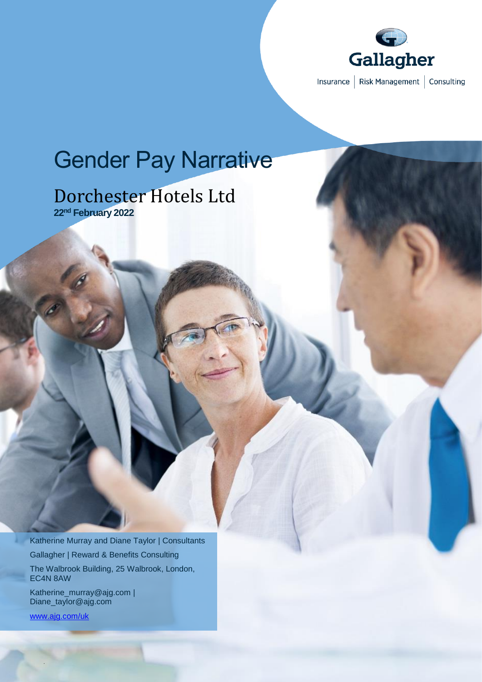

# Gender Pay Narrative

## Dorchester Hotels Ltd **22nd February 2022**

Katherine Murray and Diane Taylor | Consultants Gallagher | Reward & Benefits Consulting The Walbrook Building, 25 Walbrook, London, EC4N 8AW

Katherine\_murray@ajg.com | Diane\_taylor@ajg.com

[www.ajg.com/uk](http://www.ajg.com/uk)

.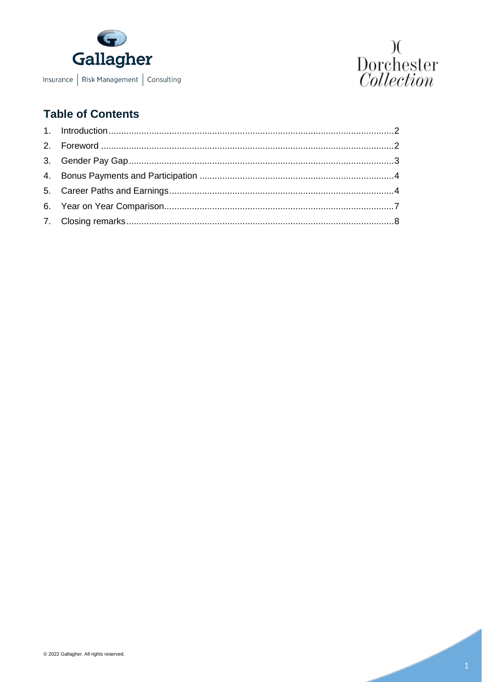



## **Table of Contents**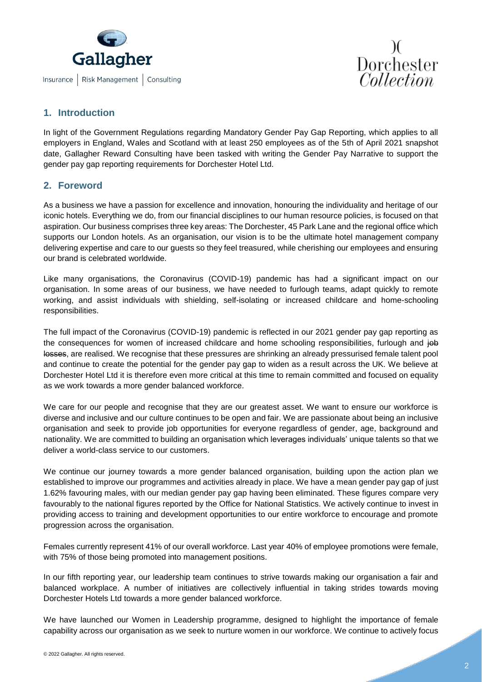



#### <span id="page-2-0"></span>**1. Introduction**

In light of the Government Regulations regarding Mandatory Gender Pay Gap Reporting, which applies to all employers in England, Wales and Scotland with at least 250 employees as of the 5th of April 2021 snapshot date, Gallagher Reward Consulting have been tasked with writing the Gender Pay Narrative to support the gender pay gap reporting requirements for Dorchester Hotel Ltd.

#### <span id="page-2-1"></span>**2. Foreword**

As a business we have a passion for excellence and innovation, honouring the individuality and heritage of our iconic hotels. Everything we do, from our financial disciplines to our human resource policies, is focused on that aspiration. Our business comprises three key areas: The Dorchester, 45 Park Lane and the regional office which supports our London hotels. As an organisation, our vision is to be the ultimate hotel management company delivering expertise and care to our guests so they feel treasured, while cherishing our employees and ensuring our brand is celebrated worldwide.

Like many organisations, the Coronavirus (COVID-19) pandemic has had a significant impact on our organisation. In some areas of our business, we have needed to furlough teams, adapt quickly to remote working, and assist individuals with shielding, self-isolating or increased childcare and home-schooling responsibilities.

The full impact of the Coronavirus (COVID-19) pandemic is reflected in our 2021 gender pay gap reporting as the consequences for women of increased childcare and home schooling responsibilities, furlough and job losses, are realised. We recognise that these pressures are shrinking an already pressurised female talent pool and continue to create the potential for the gender pay gap to widen as a result across the UK. We believe at Dorchester Hotel Ltd it is therefore even more critical at this time to remain committed and focused on equality as we work towards a more gender balanced workforce.

We care for our people and recognise that they are our greatest asset. We want to ensure our workforce is diverse and inclusive and our culture continues to be open and fair. We are passionate about being an inclusive organisation and seek to provide job opportunities for everyone regardless of gender, age, background and nationality. We are committed to building an organisation which leverages individuals' unique talents so that we deliver a world-class service to our customers.

We continue our journey towards a more gender balanced organisation, building upon the action plan we established to improve our programmes and activities already in place. We have a mean gender pay gap of just 1.62% favouring males, with our median gender pay gap having been eliminated. These figures compare very favourably to the national figures reported by the Office for National Statistics. We actively continue to invest in providing access to training and development opportunities to our entire workforce to encourage and promote progression across the organisation.

Females currently represent 41% of our overall workforce. Last year 40% of employee promotions were female, with 75% of those being promoted into management positions.

In our fifth reporting year, our leadership team continues to strive towards making our organisation a fair and balanced workplace. A number of initiatives are collectively influential in taking strides towards moving Dorchester Hotels Ltd towards a more gender balanced workforce.

We have launched our Women in Leadership programme, designed to highlight the importance of female capability across our organisation as we seek to nurture women in our workforce. We continue to actively focus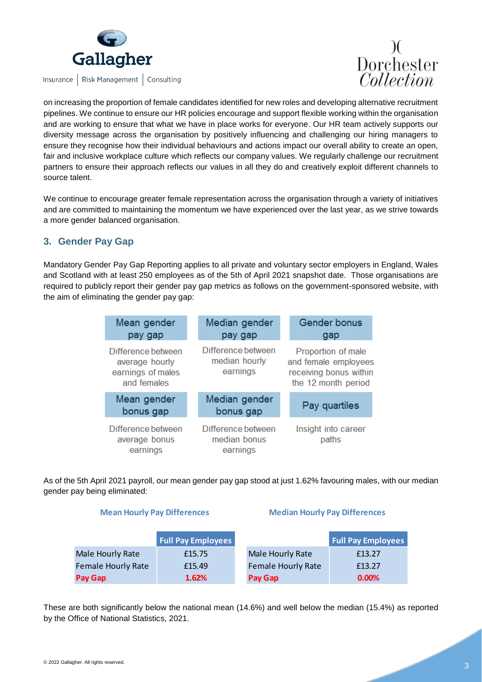

Insurance | Risk Management | Consulting



on increasing the proportion of female candidates identified for new roles and developing alternative recruitment pipelines. We continue to ensure our HR policies encourage and support flexible working within the organisation and are working to ensure that what we have in place works for everyone. Our HR team actively supports our diversity message across the organisation by positively influencing and challenging our hiring managers to ensure they recognise how their individual behaviours and actions impact our overall ability to create an open, fair and inclusive workplace culture which reflects our company values. We regularly challenge our recruitment partners to ensure their approach reflects our values in all they do and creatively exploit different channels to source talent.

We continue to encourage greater female representation across the organisation through a variety of initiatives and are committed to maintaining the momentum we have experienced over the last year, as we strive towards a more gender balanced organisation.

#### <span id="page-3-0"></span>**3. Gender Pay Gap**

Mandatory Gender Pay Gap Reporting applies to all private and voluntary sector employers in England, Wales and Scotland with at least 250 employees as of the 5th of April 2021 snapshot date. Those organisations are required to publicly report their gender pay gap metrics as follows on the government-sponsored website, with the aim of eliminating the gender pay gap:

| Mean gender<br>pay gap                                                   | Median gender<br>pay gap                        | <b>Gender bonus</b><br>gap                                                                  |  |
|--------------------------------------------------------------------------|-------------------------------------------------|---------------------------------------------------------------------------------------------|--|
| Difference between<br>average hourly<br>earnings of males<br>and females | Difference between<br>median hourly<br>earnings | Proportion of male<br>and female employees<br>receiving bonus within<br>the 12 month period |  |
| Mean gender<br>bonus gap                                                 | Median gender<br>bonus gap                      | Pay quartiles                                                                               |  |
| Difference between<br>average bonus<br>earnings                          | Difference between<br>median bonus<br>earnings  | Insight into career<br>paths                                                                |  |

As of the 5th April 2021 payroll, our mean gender pay gap stood at just 1.62% favouring males, with our median gender pay being eliminated:

#### **Mean Hourly Pay Differences Median Hourly Pay Differences**

|                           | <b>Full Pay Employees</b> |                           | <b>Full Pay Employees</b> |
|---------------------------|---------------------------|---------------------------|---------------------------|
| Male Hourly Rate          | £15.75                    | Male Hourly Rate          | £13.27                    |
| <b>Female Hourly Rate</b> | £15.49                    | <b>Female Hourly Rate</b> | £13.27                    |
| Pay Gap                   | 1.62%                     | Pay Gap                   | 0.00%                     |

These are both significantly below the national mean (14.6%) and well below the median (15.4%) as reported by the Office of National Statistics, 2021.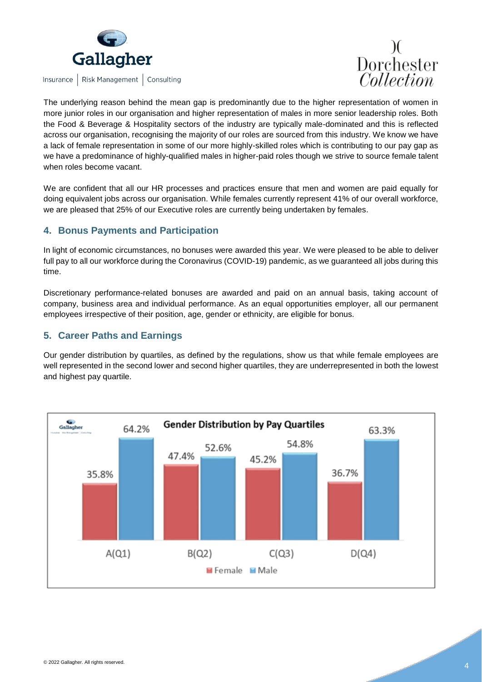

Insurance | Risk Management | Consulting



The underlying reason behind the mean gap is predominantly due to the higher representation of women in more junior roles in our organisation and higher representation of males in more senior leadership roles. Both the Food & Beverage & Hospitality sectors of the industry are typically male-dominated and this is reflected across our organisation, recognising the majority of our roles are sourced from this industry. We know we have a lack of female representation in some of our more highly-skilled roles which is contributing to our pay gap as we have a predominance of highly-qualified males in higher-paid roles though we strive to source female talent when roles become vacant.

We are confident that all our HR processes and practices ensure that men and women are paid equally for doing equivalent jobs across our organisation. While females currently represent 41% of our overall workforce, we are pleased that 25% of our Executive roles are currently being undertaken by females.

#### <span id="page-4-0"></span>**4. Bonus Payments and Participation**

In light of economic circumstances, no bonuses were awarded this year. We were pleased to be able to deliver full pay to all our workforce during the Coronavirus (COVID-19) pandemic, as we guaranteed all jobs during this time.

Discretionary performance-related bonuses are awarded and paid on an annual basis, taking account of company, business area and individual performance. As an equal opportunities employer, all our permanent employees irrespective of their position, age, gender or ethnicity, are eligible for bonus.

### <span id="page-4-1"></span>**5. Career Paths and Earnings**

Our gender distribution by quartiles, as defined by the regulations, show us that while female employees are well represented in the second lower and second higher quartiles, they are underrepresented in both the lowest and highest pay quartile.

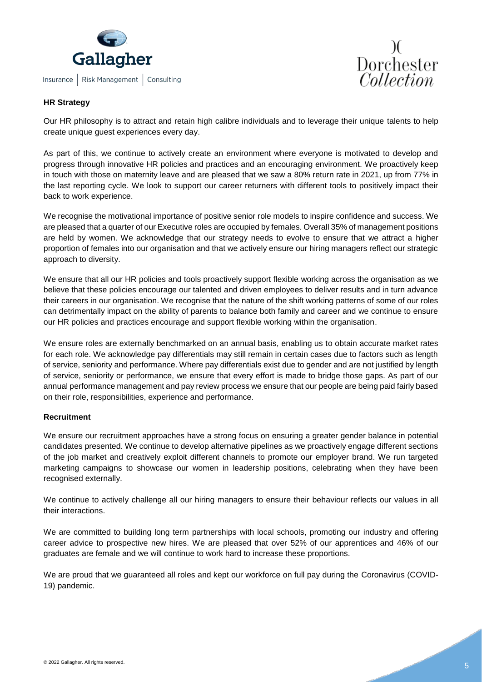



#### **HR Strategy**

Our HR philosophy is to attract and retain high calibre individuals and to leverage their unique talents to help create unique guest experiences every day.

As part of this, we continue to actively create an environment where everyone is motivated to develop and progress through innovative HR policies and practices and an encouraging environment. We proactively keep in touch with those on maternity leave and are pleased that we saw a 80% return rate in 2021, up from 77% in the last reporting cycle. We look to support our career returners with different tools to positively impact their back to work experience.

We recognise the motivational importance of positive senior role models to inspire confidence and success. We are pleased that a quarter of our Executive roles are occupied by females. Overall 35% of management positions are held by women. We acknowledge that our strategy needs to evolve to ensure that we attract a higher proportion of females into our organisation and that we actively ensure our hiring managers reflect our strategic approach to diversity.

We ensure that all our HR policies and tools proactively support flexible working across the organisation as we believe that these policies encourage our talented and driven employees to deliver results and in turn advance their careers in our organisation. We recognise that the nature of the shift working patterns of some of our roles can detrimentally impact on the ability of parents to balance both family and career and we continue to ensure our HR policies and practices encourage and support flexible working within the organisation.

We ensure roles are externally benchmarked on an annual basis, enabling us to obtain accurate market rates for each role. We acknowledge pay differentials may still remain in certain cases due to factors such as length of service, seniority and performance. Where pay differentials exist due to gender and are not justified by length of service, seniority or performance, we ensure that every effort is made to bridge those gaps. As part of our annual performance management and pay review process we ensure that our people are being paid fairly based on their role, responsibilities, experience and performance.

#### **Recruitment**

We ensure our recruitment approaches have a strong focus on ensuring a greater gender balance in potential candidates presented. We continue to develop alternative pipelines as we proactively engage different sections of the job market and creatively exploit different channels to promote our employer brand. We run targeted marketing campaigns to showcase our women in leadership positions, celebrating when they have been recognised externally.

We continue to actively challenge all our hiring managers to ensure their behaviour reflects our values in all their interactions.

We are committed to building long term partnerships with local schools, promoting our industry and offering career advice to prospective new hires. We are pleased that over 52% of our apprentices and 46% of our graduates are female and we will continue to work hard to increase these proportions.

We are proud that we guaranteed all roles and kept our workforce on full pay during the Coronavirus (COVID-19) pandemic.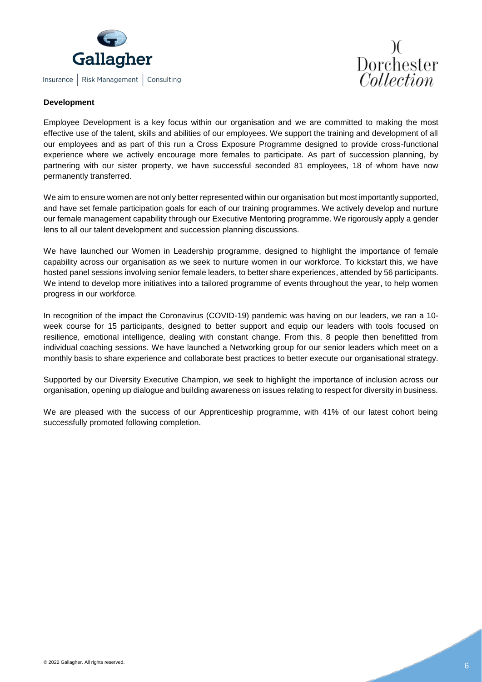



#### **Development**

Employee Development is a key focus within our organisation and we are committed to making the most effective use of the talent, skills and abilities of our employees. We support the training and development of all our employees and as part of this run a Cross Exposure Programme designed to provide cross-functional experience where we actively encourage more females to participate. As part of succession planning, by partnering with our sister property, we have successful seconded 81 employees, 18 of whom have now permanently transferred.

We aim to ensure women are not only better represented within our organisation but most importantly supported, and have set female participation goals for each of our training programmes. We actively develop and nurture our female management capability through our Executive Mentoring programme. We rigorously apply a gender lens to all our talent development and succession planning discussions.

We have launched our Women in Leadership programme, designed to highlight the importance of female capability across our organisation as we seek to nurture women in our workforce. To kickstart this, we have hosted panel sessions involving senior female leaders, to better share experiences, attended by 56 participants. We intend to develop more initiatives into a tailored programme of events throughout the year, to help women progress in our workforce.

In recognition of the impact the Coronavirus (COVID-19) pandemic was having on our leaders, we ran a 10 week course for 15 participants, designed to better support and equip our leaders with tools focused on resilience, emotional intelligence, dealing with constant change. From this, 8 people then benefitted from individual coaching sessions. We have launched a Networking group for our senior leaders which meet on a monthly basis to share experience and collaborate best practices to better execute our organisational strategy.

Supported by our Diversity Executive Champion, we seek to highlight the importance of inclusion across our organisation, opening up dialogue and building awareness on issues relating to respect for diversity in business.

We are pleased with the success of our Apprenticeship programme, with 41% of our latest cohort being successfully promoted following completion.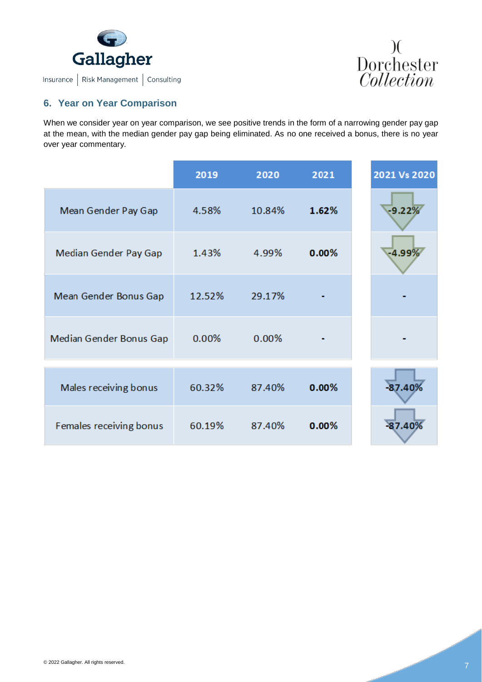



#### <span id="page-7-0"></span>**6. Year on Year Comparison**

When we consider year on year comparison, we see positive trends in the form of a narrowing gender pay gap at the mean, with the median gender pay gap being eliminated. As no one received a bonus, there is no year over year commentary.

|                         | 2019   | 2020   | 2021  | 2021 Vs 2020 |
|-------------------------|--------|--------|-------|--------------|
| Mean Gender Pay Gap     | 4.58%  | 10.84% | 1.62% | $-9.22%$     |
| Median Gender Pay Gap   | 1.43%  | 4.99%  | 0.00% | $-4.99\%$    |
| Mean Gender Bonus Gap   | 12.52% | 29.17% |       |              |
| Median Gender Bonus Gap | 0.00%  | 0.00%  |       |              |
|                         |        |        | 0.00% | $-87.40%$    |
| Males receiving bonus   | 60.32% | 87.40% |       |              |
| Females receiving bonus | 60.19% | 87.40% | 0.00% | $-87.40%$    |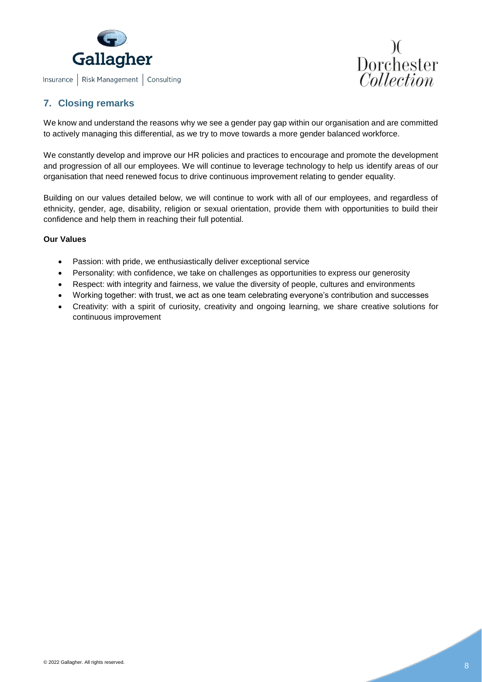



### <span id="page-8-0"></span>**7. Closing remarks**

We know and understand the reasons why we see a gender pay gap within our organisation and are committed to actively managing this differential, as we try to move towards a more gender balanced workforce.

We constantly develop and improve our HR policies and practices to encourage and promote the development and progression of all our employees. We will continue to leverage technology to help us identify areas of our organisation that need renewed focus to drive continuous improvement relating to gender equality.

Building on our values detailed below, we will continue to work with all of our employees, and regardless of ethnicity, gender, age, disability, religion or sexual orientation, provide them with opportunities to build their confidence and help them in reaching their full potential.

#### **Our Values**

- Passion: with pride, we enthusiastically deliver exceptional service
- Personality: with confidence, we take on challenges as opportunities to express our generosity
- Respect: with integrity and fairness, we value the diversity of people, cultures and environments
- Working together: with trust, we act as one team celebrating everyone's contribution and successes
- Creativity: with a spirit of curiosity, creativity and ongoing learning, we share creative solutions for continuous improvement